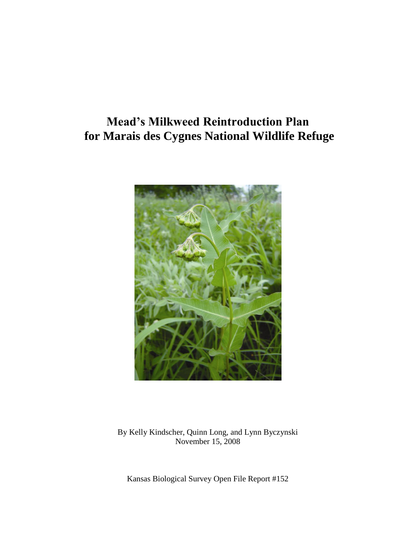# **Mead's Milkweed Reintroduction Plan for Marais des Cygnes National Wildlife Refuge**



By Kelly Kindscher, Quinn Long, and Lynn Byczynski November 15, 2008

Kansas Biological Survey Open File Report #152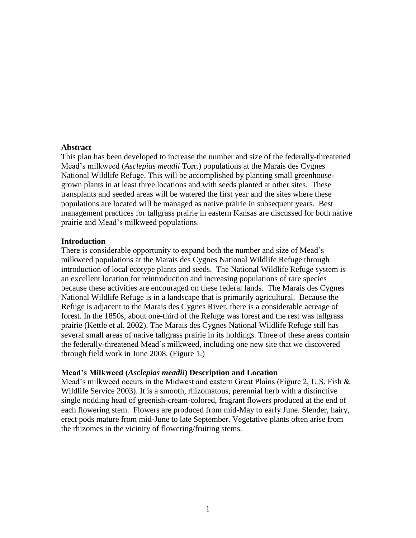#### **Abstract**

This plan has been developed to increase the number and size of the federally-threatened Mead's milkweed (*Asclepias meadii* Torr.) populations at the Marais des Cygnes National Wildlife Refuge. This will be accomplished by planting small greenhousegrown plants in at least three locations and with seeds planted at other sites. These transplants and seeded areas will be watered the first year and the sites where these populations are located will be managed as native prairie in subsequent years. Best management practices for tallgrass prairie in eastern Kansas are discussed for both native prairie and Mead's milkweed populations.

#### **Introduction**

There is considerable opportunity to expand both the number and size of Mead's milkweed populations at the Marais des Cygnes National Wildlife Refuge through introduction of local ecotype plants and seeds. The National Wildlife Refuge system is an excellent location for reintroduction and increasing populations of rare species because these activities are encouraged on these federal lands. The Marais des Cygnes National Wildlife Refuge is in a landscape that is primarily agricultural. Because the Refuge is adjacent to the Marais des Cygnes River, there is a considerable acreage of forest. In the 1850s, about one-third of the Refuge was forest and the rest was tallgrass prairie (Kettle et al. 2002). The Marais des Cygnes National Wildlife Refuge still has several small areas of native tallgrass prairie in its holdings. Three of these areas contain the federally-threatened Mead's milkweed, including one new site that we discovered through field work in June 2008. (Figure 1.)

#### **Mead's Milkweed (***Asclepias meadii***) Description and Location**

Mead's milkweed occurs in the Midwest and eastern Great Plains (Figure 2, U.S. Fish & Wildlife Service 2003). It is a smooth, rhizomatous, perennial herb with a distinctive single nodding head of greenish-cream-colored, fragrant flowers produced at the end of each flowering stem. Flowers are produced from mid-May to early June. Slender, hairy, erect pods mature from mid-June to late September. Vegetative plants often arise from the rhizomes in the vicinity of flowering/fruiting stems.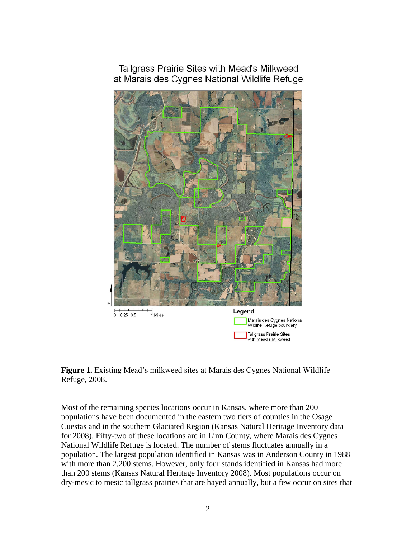Tallgrass Prairie Sites with Mead's Milkweed at Marais des Cygnes National Wildlife Refuge





Most of the remaining species locations occur in Kansas, where more than 200 populations have been documented in the eastern two tiers of counties in the Osage Cuestas and in the southern Glaciated Region (Kansas Natural Heritage Inventory data for 2008). Fifty-two of these locations are in Linn County, where Marais des Cygnes National Wildlife Refuge is located. The number of stems fluctuates annually in a population. The largest population identified in Kansas was in Anderson County in 1988 with more than 2,200 stems. However, only four stands identified in Kansas had more than 200 stems (Kansas Natural Heritage Inventory 2008). Most populations occur on dry-mesic to mesic tallgrass prairies that are hayed annually, but a few occur on sites that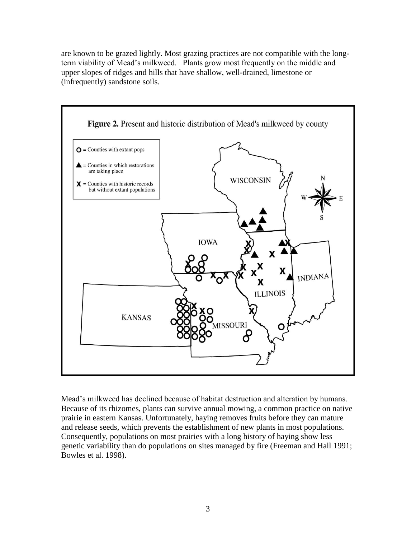are known to be grazed lightly. Most grazing practices are not compatible with the longterm viability of Mead's milkweed. Plants grow most frequently on the middle and upper slopes of ridges and hills that have shallow, well-drained, limestone or (infrequently) sandstone soils.



Mead's milkweed has declined because of habitat destruction and alteration by humans. Because of its rhizomes, plants can survive annual mowing, a common practice on native prairie in eastern Kansas. Unfortunately, haying removes fruits before they can mature and release seeds, which prevents the establishment of new plants in most populations. Consequently, populations on most prairies with a long history of haying show less genetic variability than do populations on sites managed by fire (Freeman and Hall 1991; Bowles et al. 1998).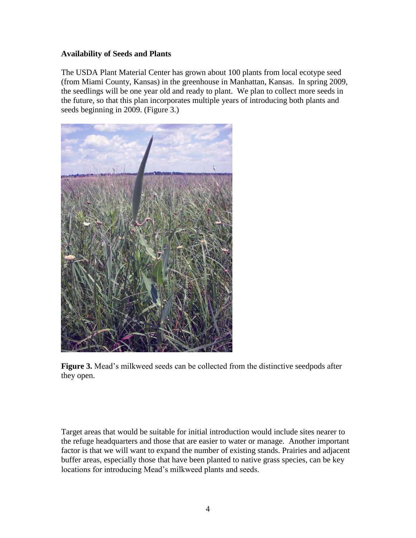# **Availability of Seeds and Plants**

The USDA Plant Material Center has grown about 100 plants from local ecotype seed (from Miami County, Kansas) in the greenhouse in Manhattan, Kansas. In spring 2009, the seedlings will be one year old and ready to plant. We plan to collect more seeds in the future, so that this plan incorporates multiple years of introducing both plants and seeds beginning in 2009. (Figure 3.)



**Figure 3.** Mead's milkweed seeds can be collected from the distinctive seedpods after they open.

Target areas that would be suitable for initial introduction would include sites nearer to the refuge headquarters and those that are easier to water or manage. Another important factor is that we will want to expand the number of existing stands. Prairies and adjacent buffer areas, especially those that have been planted to native grass species, can be key locations for introducing Mead's milkweed plants and seeds.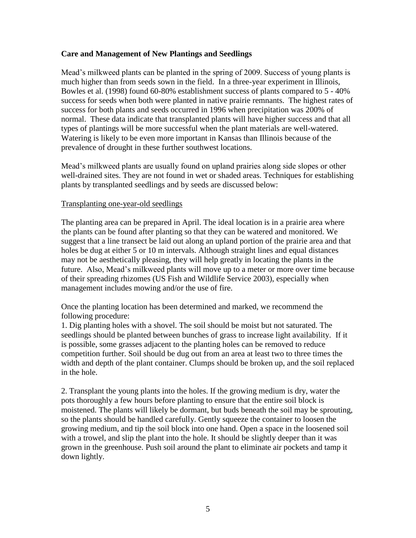## **Care and Management of New Plantings and Seedlings**

Mead's milkweed plants can be planted in the spring of 2009. Success of young plants is much higher than from seeds sown in the field. In a three-year experiment in Illinois, Bowles et al. (1998) found 60-80% establishment success of plants compared to 5 - 40% success for seeds when both were planted in native prairie remnants. The highest rates of success for both plants and seeds occurred in 1996 when precipitation was 200% of normal. These data indicate that transplanted plants will have higher success and that all types of plantings will be more successful when the plant materials are well-watered. Watering is likely to be even more important in Kansas than Illinois because of the prevalence of drought in these further southwest locations.

Mead's milkweed plants are usually found on upland prairies along side slopes or other well-drained sites. They are not found in wet or shaded areas. Techniques for establishing plants by transplanted seedlings and by seeds are discussed below:

## Transplanting one-year-old seedlings

The planting area can be prepared in April. The ideal location is in a prairie area where the plants can be found after planting so that they can be watered and monitored. We suggest that a line transect be laid out along an upland portion of the prairie area and that holes be dug at either 5 or 10 m intervals. Although straight lines and equal distances may not be aesthetically pleasing, they will help greatly in locating the plants in the future. Also, Mead's milkweed plants will move up to a meter or more over time because of their spreading rhizomes (US Fish and Wildlife Service 2003), especially when management includes mowing and/or the use of fire.

Once the planting location has been determined and marked, we recommend the following procedure:

1. Dig planting holes with a shovel. The soil should be moist but not saturated. The seedlings should be planted between bunches of grass to increase light availability. If it is possible, some grasses adjacent to the planting holes can be removed to reduce competition further. Soil should be dug out from an area at least two to three times the width and depth of the plant container. Clumps should be broken up, and the soil replaced in the hole.

2. Transplant the young plants into the holes. If the growing medium is dry, water the pots thoroughly a few hours before planting to ensure that the entire soil block is moistened. The plants will likely be dormant, but buds beneath the soil may be sprouting, so the plants should be handled carefully. Gently squeeze the container to loosen the growing medium, and tip the soil block into one hand. Open a space in the loosened soil with a trowel, and slip the plant into the hole. It should be slightly deeper than it was grown in the greenhouse. Push soil around the plant to eliminate air pockets and tamp it down lightly.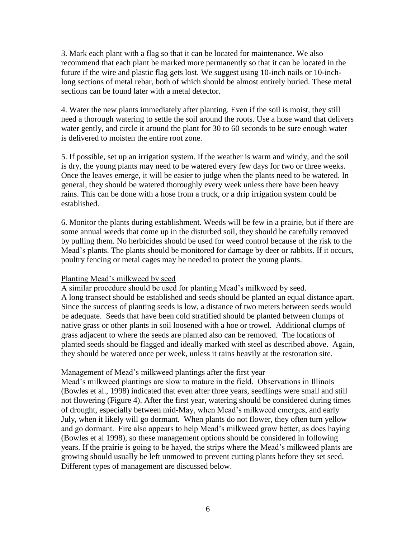3. Mark each plant with a flag so that it can be located for maintenance. We also recommend that each plant be marked more permanently so that it can be located in the future if the wire and plastic flag gets lost. We suggest using 10-inch nails or 10-inchlong sections of metal rebar, both of which should be almost entirely buried. These metal sections can be found later with a metal detector.

4. Water the new plants immediately after planting. Even if the soil is moist, they still need a thorough watering to settle the soil around the roots. Use a hose wand that delivers water gently, and circle it around the plant for 30 to 60 seconds to be sure enough water is delivered to moisten the entire root zone.

5. If possible, set up an irrigation system. If the weather is warm and windy, and the soil is dry, the young plants may need to be watered every few days for two or three weeks. Once the leaves emerge, it will be easier to judge when the plants need to be watered. In general, they should be watered thoroughly every week unless there have been heavy rains. This can be done with a hose from a truck, or a drip irrigation system could be established.

6. Monitor the plants during establishment. Weeds will be few in a prairie, but if there are some annual weeds that come up in the disturbed soil, they should be carefully removed by pulling them. No herbicides should be used for weed control because of the risk to the Mead's plants. The plants should be monitored for damage by deer or rabbits. If it occurs, poultry fencing or metal cages may be needed to protect the young plants.

## Planting Mead's milkweed by seed

A similar procedure should be used for planting Mead's milkweed by seed. A long transect should be established and seeds should be planted an equal distance apart. Since the success of planting seeds is low, a distance of two meters between seeds would be adequate. Seeds that have been cold stratified should be planted between clumps of native grass or other plants in soil loosened with a hoe or trowel. Additional clumps of grass adjacent to where the seeds are planted also can be removed. The locations of planted seeds should be flagged and ideally marked with steel as described above. Again, they should be watered once per week, unless it rains heavily at the restoration site.

## Management of Mead's milkweed plantings after the first year

Mead's milkweed plantings are slow to mature in the field. Observations in Illinois (Bowles et al., 1998) indicated that even after three years, seedlings were small and still not flowering (Figure 4). After the first year, watering should be considered during times of drought, especially between mid-May, when Mead's milkweed emerges, and early July, when it likely will go dormant. When plants do not flower, they often turn yellow and go dormant. Fire also appears to help Mead's milkweed grow better, as does haying (Bowles et al 1998), so these management options should be considered in following years. If the prairie is going to be hayed, the strips where the Mead's milkweed plants are growing should usually be left unmowed to prevent cutting plants before they set seed. Different types of management are discussed below.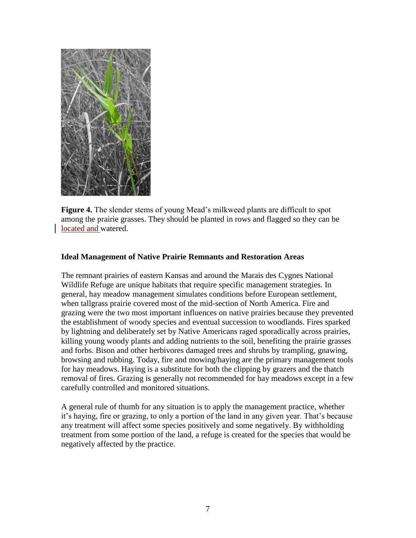

**Figure 4.** The slender stems of young Mead's milkweed plants are difficult to spot among the prairie grasses. They should be planted in rows and flagged so they can be located and watered.

## **Ideal Management of Native Prairie Remnants and Restoration Areas**

The remnant prairies of eastern Kansas and around the Marais des Cygnes National Wildlife Refuge are unique habitats that require specific management strategies. In general, hay meadow management simulates conditions before European settlement, when tallgrass prairie covered most of the mid-section of North America. Fire and grazing were the two most important influences on native prairies because they prevented the establishment of woody species and eventual succession to woodlands. Fires sparked by lightning and deliberately set by Native Americans raged sporadically across prairies, killing young woody plants and adding nutrients to the soil, benefiting the prairie grasses and forbs. Bison and other herbivores damaged trees and shrubs by trampling, gnawing, browsing and rubbing. Today, fire and mowing/haying are the primary management tools for hay meadows. Haying is a substitute for both the clipping by grazers and the thatch removal of fires. Grazing is generally not recommended for hay meadows except in a few carefully controlled and monitored situations.

A general rule of thumb for any situation is to apply the management practice, whether it's haying, fire or grazing, to only a portion of the land in any given year. That's because any treatment will affect some species positively and some negatively. By withholding treatment from some portion of the land, a refuge is created for the species that would be negatively affected by the practice.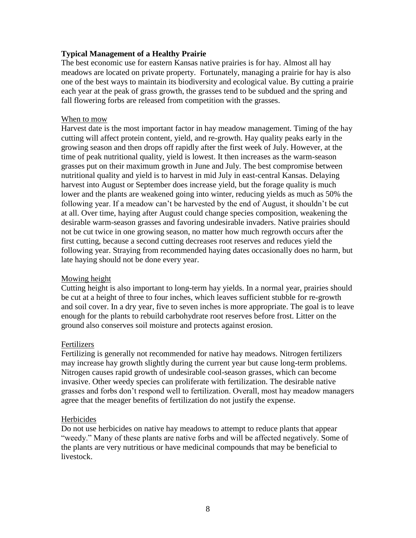# **Typical Management of a Healthy Prairie**

The best economic use for eastern Kansas native prairies is for hay. Almost all hay meadows are located on private property. Fortunately, managing a prairie for hay is also one of the best ways to maintain its biodiversity and ecological value. By cutting a prairie each year at the peak of grass growth, the grasses tend to be subdued and the spring and fall flowering forbs are released from competition with the grasses.

#### When to mow

Harvest date is the most important factor in hay meadow management. Timing of the hay cutting will affect protein content, yield, and re-growth. Hay quality peaks early in the growing season and then drops off rapidly after the first week of July. However, at the time of peak nutritional quality, yield is lowest. It then increases as the warm-season grasses put on their maximum growth in June and July. The best compromise between nutritional quality and yield is to harvest in mid July in east-central Kansas. Delaying harvest into August or September does increase yield, but the forage quality is much lower and the plants are weakened going into winter, reducing yields as much as 50% the following year. If a meadow can't be harvested by the end of August, it shouldn't be cut at all. Over time, haying after August could change species composition, weakening the desirable warm-season grasses and favoring undesirable invaders. Native prairies should not be cut twice in one growing season, no matter how much regrowth occurs after the first cutting, because a second cutting decreases root reserves and reduces yield the following year. Straying from recommended haying dates occasionally does no harm, but late haying should not be done every year.

## Mowing height

Cutting height is also important to long-term hay yields. In a normal year, prairies should be cut at a height of three to four inches, which leaves sufficient stubble for re-growth and soil cover. In a dry year, five to seven inches is more appropriate. The goal is to leave enough for the plants to rebuild carbohydrate root reserves before frost. Litter on the ground also conserves soil moisture and protects against erosion.

## Fertilizers

Fertilizing is generally not recommended for native hay meadows. Nitrogen fertilizers may increase hay growth slightly during the current year but cause long-term problems. Nitrogen causes rapid growth of undesirable cool-season grasses, which can become invasive. Other weedy species can proliferate with fertilization. The desirable native grasses and forbs don't respond well to fertilization. Overall, most hay meadow managers agree that the meager benefits of fertilization do not justify the expense.

#### **Herbicides**

Do not use herbicides on native hay meadows to attempt to reduce plants that appear "weedy." Many of these plants are native forbs and will be affected negatively. Some of the plants are very nutritious or have medicinal compounds that may be beneficial to livestock.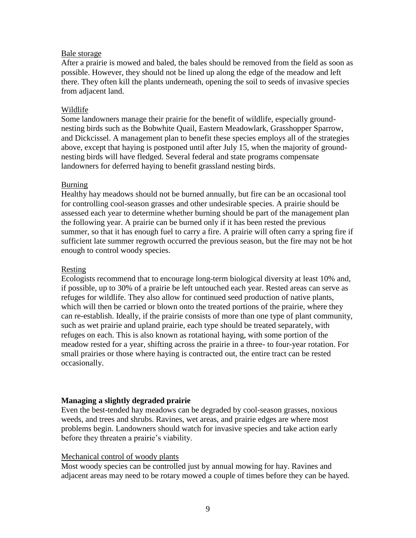#### Bale storage

After a prairie is mowed and baled, the bales should be removed from the field as soon as possible. However, they should not be lined up along the edge of the meadow and left there. They often kill the plants underneath, opening the soil to seeds of invasive species from adjacent land.

## Wildlife

Some landowners manage their prairie for the benefit of wildlife, especially groundnesting birds such as the Bobwhite Quail, Eastern Meadowlark, Grasshopper Sparrow, and Dickcissel. A management plan to benefit these species employs all of the strategies above, except that haying is postponed until after July 15, when the majority of groundnesting birds will have fledged. Several federal and state programs compensate landowners for deferred haying to benefit grassland nesting birds.

#### Burning

Healthy hay meadows should not be burned annually, but fire can be an occasional tool for controlling cool-season grasses and other undesirable species. A prairie should be assessed each year to determine whether burning should be part of the management plan the following year. A prairie can be burned only if it has been rested the previous summer, so that it has enough fuel to carry a fire. A prairie will often carry a spring fire if sufficient late summer regrowth occurred the previous season, but the fire may not be hot enough to control woody species.

## Resting

Ecologists recommend that to encourage long-term biological diversity at least 10% and, if possible, up to 30% of a prairie be left untouched each year. Rested areas can serve as refuges for wildlife. They also allow for continued seed production of native plants, which will then be carried or blown onto the treated portions of the prairie, where they can re-establish. Ideally, if the prairie consists of more than one type of plant community, such as wet prairie and upland prairie, each type should be treated separately, with refuges on each. This is also known as rotational haying, with some portion of the meadow rested for a year, shifting across the prairie in a three- to four-year rotation. For small prairies or those where haying is contracted out, the entire tract can be rested occasionally.

## **Managing a slightly degraded prairie**

Even the best-tended hay meadows can be degraded by cool-season grasses, noxious weeds, and trees and shrubs. Ravines, wet areas, and prairie edges are where most problems begin. Landowners should watch for invasive species and take action early before they threaten a prairie's viability.

## Mechanical control of woody plants

Most woody species can be controlled just by annual mowing for hay. Ravines and adjacent areas may need to be rotary mowed a couple of times before they can be hayed.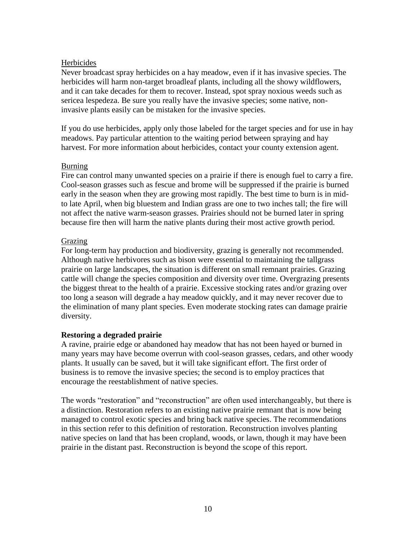# **Herbicides**

Never broadcast spray herbicides on a hay meadow, even if it has invasive species. The herbicides will harm non-target broadleaf plants, including all the showy wildflowers, and it can take decades for them to recover. Instead, spot spray noxious weeds such as sericea lespedeza. Be sure you really have the invasive species; some native, noninvasive plants easily can be mistaken for the invasive species.

If you do use herbicides, apply only those labeled for the target species and for use in hay meadows. Pay particular attention to the waiting period between spraying and hay harvest. For more information about herbicides, contact your county extension agent.

# Burning

Fire can control many unwanted species on a prairie if there is enough fuel to carry a fire. Cool-season grasses such as fescue and brome will be suppressed if the prairie is burned early in the season when they are growing most rapidly. The best time to burn is in midto late April, when big bluestem and Indian grass are one to two inches tall; the fire will not affect the native warm-season grasses. Prairies should not be burned later in spring because fire then will harm the native plants during their most active growth period.

# Grazing

For long-term hay production and biodiversity, grazing is generally not recommended. Although native herbivores such as bison were essential to maintaining the tallgrass prairie on large landscapes, the situation is different on small remnant prairies. Grazing cattle will change the species composition and diversity over time. Overgrazing presents the biggest threat to the health of a prairie. Excessive stocking rates and/or grazing over too long a season will degrade a hay meadow quickly, and it may never recover due to the elimination of many plant species. Even moderate stocking rates can damage prairie diversity.

# **Restoring a degraded prairie**

A ravine, prairie edge or abandoned hay meadow that has not been hayed or burned in many years may have become overrun with cool-season grasses, cedars, and other woody plants. It usually can be saved, but it will take significant effort. The first order of business is to remove the invasive species; the second is to employ practices that encourage the reestablishment of native species.

The words "restoration" and "reconstruction" are often used interchangeably, but there is a distinction. Restoration refers to an existing native prairie remnant that is now being managed to control exotic species and bring back native species. The recommendations in this section refer to this definition of restoration. Reconstruction involves planting native species on land that has been cropland, woods, or lawn, though it may have been prairie in the distant past. Reconstruction is beyond the scope of this report.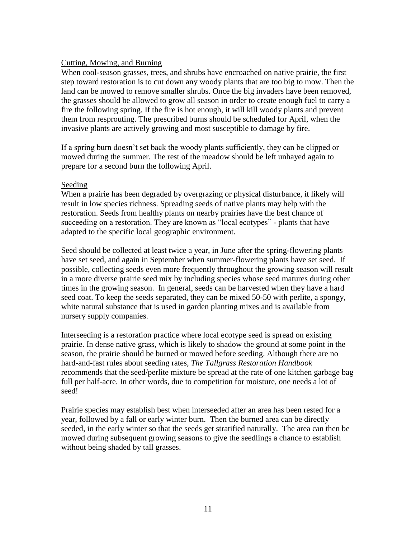# Cutting, Mowing, and Burning

When cool-season grasses, trees, and shrubs have encroached on native prairie, the first step toward restoration is to cut down any woody plants that are too big to mow. Then the land can be mowed to remove smaller shrubs. Once the big invaders have been removed, the grasses should be allowed to grow all season in order to create enough fuel to carry a fire the following spring. If the fire is hot enough, it will kill woody plants and prevent them from resprouting. The prescribed burns should be scheduled for April, when the invasive plants are actively growing and most susceptible to damage by fire.

If a spring burn doesn't set back the woody plants sufficiently, they can be clipped or mowed during the summer. The rest of the meadow should be left unhayed again to prepare for a second burn the following April.

# Seeding

When a prairie has been degraded by overgrazing or physical disturbance, it likely will result in low species richness. Spreading seeds of native plants may help with the restoration. Seeds from healthy plants on nearby prairies have the best chance of succeeding on a restoration. They are known as "local ecotypes" - plants that have adapted to the specific local geographic environment.

Seed should be collected at least twice a year, in June after the spring-flowering plants have set seed, and again in September when summer-flowering plants have set seed. If possible, collecting seeds even more frequently throughout the growing season will result in a more diverse prairie seed mix by including species whose seed matures during other times in the growing season. In general, seeds can be harvested when they have a hard seed coat. To keep the seeds separated, they can be mixed 50-50 with perlite, a spongy, white natural substance that is used in garden planting mixes and is available from nursery supply companies.

Interseeding is a restoration practice where local ecotype seed is spread on existing prairie. In dense native grass, which is likely to shadow the ground at some point in the season, the prairie should be burned or mowed before seeding. Although there are no hard-and-fast rules about seeding rates, *The Tallgrass Restoration Handbook* recommends that the seed/perlite mixture be spread at the rate of one kitchen garbage bag full per half-acre. In other words, due to competition for moisture, one needs a lot of seed!

Prairie species may establish best when interseeded after an area has been rested for a year, followed by a fall or early winter burn. Then the burned area can be directly seeded, in the early winter so that the seeds get stratified naturally. The area can then be mowed during subsequent growing seasons to give the seedlings a chance to establish without being shaded by tall grasses.